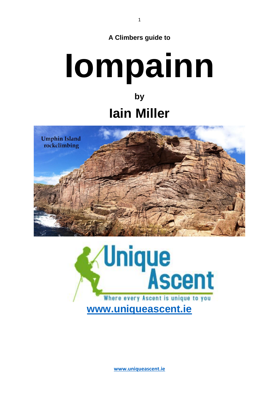# **Iompainn by**

# **Iain Miller**





**[www.uniqueascent.ie](https://www.uniqueascent.ie/)**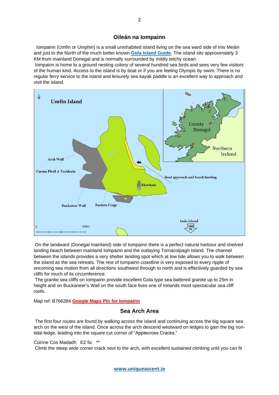## **Oileán na Iompainn**

Iompainn (Umfin or Umphin) is a small uninhabited island living on the sea ward side of Inis Meáin and just to the North of the much better known **[Gola Island Guide](https://uniqueascent.ie/gola-island-guide)**. The island sits approximately 3 KM from mainland Donegal and is normally surrounded by mildly tetchy ocean.

Iompainn is home to a ground nesting colony of several hundred sea birds and sees very few visitors of the human kind. Access to the island is by boat or if you are feeling Olympic by swim. There is no regular ferry service to the island and leisurely sea kayak paddle is an excellent way to approach and visit the island.



On the landward (Donegal mainland) side of Iompainn there is a perfect natural harbour and shelved landing beach between mainland Iompainn and the outlaying Tornacolpagh Island. The channel between the islands provides a very shelter landing spot which at low tide allows you to walk between the island as the sea retreats. The rest of Iompainn coastline is very exposed to every ripple of oncoming sea motion from all directions southwest through to north and is effectively guarded by sea cliffs for much of its circumference.

The granite sea cliffs on Iompainn provide excellent Gola type sea battered granite up to 25m in height and on Buckaneer's Wall on the south face lives one of Irelands most spectacular sea cliff roofs.

Map ref: B766284 **[Google Maps Pin for Iompainn](https://www.google.com/maps/@55.0986094,-8.3667066,14.99z)**

## **Sea Arch Area**

The first four routes are found by walking across the island and continuing across the big square sea arch on the west of the island. Once across the arch descend westward on ledges to gain the big nontidal ledge, leading into the square cut corner of "Applecross Cracks."

#### Cúinne Cos Madadh E2 5c \*\*

Climb the steep wide corner crack next to the arch, with excellent sustained climbing until you can fit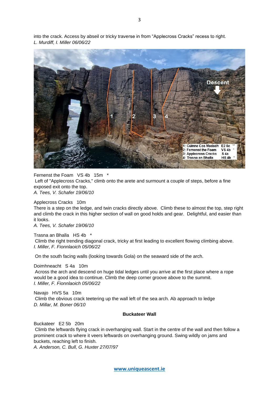into the crack. Access by abseil or tricky traverse in from "Applecross Cracks" recess to right. *L. Murdiff, I. Miller 06/06/22*



Fernenst the Foam VS 4b 15m \* Left of "Applecross Cracks," climb onto the arete and surmount a couple of steps, before a fine exposed exit onto the top. *A. Tees, V. Schafer 19/06/10*

Applecross Cracks 10m

There is a step on the ledge, and twin cracks directly above. Climb these to almost the top, step right and climb the crack in this higher section of wall on good holds and gear. Delightful, and easier than it looks.

*A. Tees, V. Schafer 19/06/10*

Trasna an Bhalla HS 4b \*

Climb the right trending diagonal crack, tricky at first leading to excellent flowing climbing above. *I. Miller, F. Fionnlaoich 05/06/22*

On the south facing walls (looking towards Gola) on the seaward side of the arch.

Doimhneacht S 4a 10m

Across the arch and descend on huge tidal ledges until you arrive at the first place where a rope would be a good idea to continue. Climb the deep corner groove above to the summit. *I. Miller, F. Fionnlaoich 05/06/22*

Navajo HVS 5a 10m Climb the obvious crack teetering up the wall left of the sea arch. Ab approach to ledge *D. Millar, M. Boner 06/10*

#### **Buckateer Wall**

Buckateer E2 5b 20m

Climb the leftwards flying crack in overhanging wall. Start in the centre of the wall and then follow a prominent crack to where it veers leftwards on overhanging ground. Swing wildly on jams and buckets, reaching left to finish.

*A. Anderson, C. Bull, G. Huxter 27/07/97*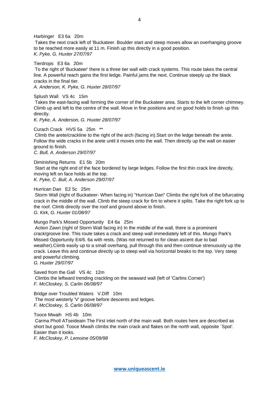Harbinger E3 6a 20m Takes the next crack left of 'Buckateer. Boulder start and steep moves allow an overhanging groove to be reached more easily at 11 m. Finish up this directly in a good position. *K. Pyke, G. Huxter 27/07/97*

Tierdrops E3 6a 20m

To the right of 'Buckateer' there is a three tier wall with crack systems. This route takes the central line. A powerful reach gains the first ledge. Painful jams the next. Continue steeply up the black cracks in the final tier.

*A. Anderson, K. Pyke, G. Huxter 28/07/97*

Splush Wall VS 4c 15m

Takes the east-facing wall forming the corner of the Buckateer area. Starts to the left corner chimney. Climb up and left to the centre of the wall. Move in fine positions and on good holds to finish up this directly.

*K. Pyke, A. Anderson, G. Huxter 28/07/97*

Curach Crack HVS 5a 25m \*\*

Climb the arete/crackline to the right of the arch (facing in).Start on the ledge beneath the arete. Follow the wide cracks in the arete until it moves onto the wall. Then directly up the wall on easier ground to finish.

*C. Bull, A. Anderson 29/07/97*

Diminishing Returns E1 5b 20m Start at the right end of the face bordered by large ledges. Follow the first thin crack line directly, moving left on face holds at the top. *K. Pyke, C. Bull, A. Anderson 29/07/97*

#### Hurrican Dan E2 5c 25m

Storm Wall (right of Buckateer- When facing in) "Hurrican Dan" Climbs the right fork of the bifurcating crack in the middle of the wall. Climb the steep crack for 6m to where it splits. Take the right fork up to the roof. Climb directly over the roof and ground above to finish. *G. Kirk, G. Huxter 01/08/97*

Mungo Park's Missed Opportunity E4 6a 25m

Action Zawn (right of Storm Wall facing in) In the middle of the wall, there is a prominent crack/groove line. This route takes a crack and steep wall immediately left of this. Mungo Park's Missed Opportunity E4/6. 6a with rests. (Was not returned to for clean ascent due to bad weather).Ciimb easily up to a small overhang, pull through this and then continue strenuously up the crack. Leave this and continue directly up to steep wall via horizontal breaks to the top. Very steep and powerful climbing.

*G. Huxter 29/07/97*

Saved from the Gall VS 4c 12m Climbs the leftward trending crackling on the seaward wall (left of 'Carlins Corner') *F. McCloskey, S. Carlin 06/08/97*

Bridge over Troubled Waters V.Diff 10m The most westerly 'V' groove before descents and ledges. *F. McCloskey, S. Carlin 06/08/97*

Tooce Mwaih HS 4b 10m Carma Pholl ATseideain The First inlet north of the main wall. Both routes here are described as short but good. Tooce Mwaih climbs the main crack and flakes on the north wall, opposite `Spot'. Easier than it looks.

*F. McCloskey, P. Lemoine 05/09/98*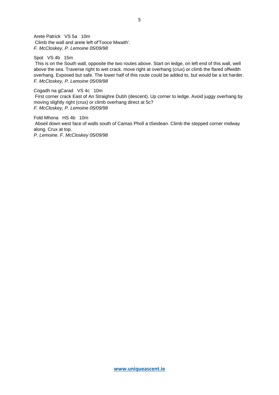Arete Patrick VS 5a 10m Climb the wall and arete left of'Tooce Mwaith'. *F. McCloskey, P. Lemoine 05/09/98*

Spot VS 4b 15m This is on the South wall, opposite the two routes above. Start on ledge, on left end of this wall, well above the sea. Traverse right to wet crack. move right at overhang (crux) or climb the flared offwidth overhang. Exposed but safe. The lower half of this route could be added to, but would be a lot harder. *F. McCloskey, P. Lemoine 05/09/98*

Cogadh na gCarad VS 4c 10m First corner crack East of An Straighre Dubh (descent). Up corner to ledge. Avoid juggy overhang by moving slightly right (crux) or climb overhang direct at 5c? *F. McCloskey, P. Lemoine 05/09/98*

Fold Mhona HS 4b 10m Abseil down west face of walls south of Camas Pholl a tSeidean. Climb the stepped corner midway along. Crux at top. *P. Lemoine. F. McCloskey 05/09/98*